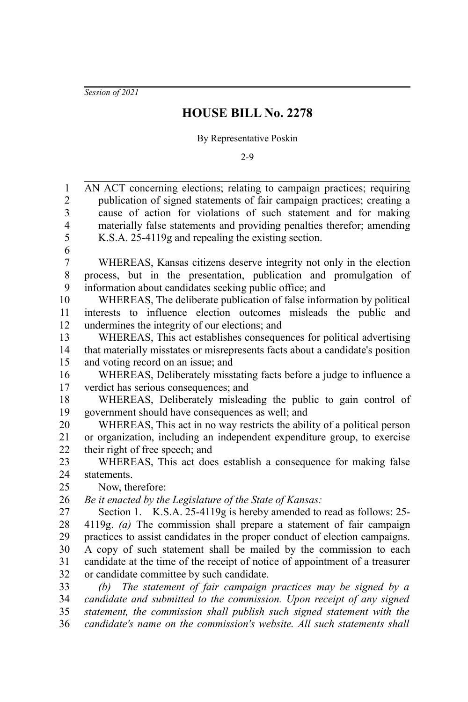*Session of 2021*

## **HOUSE BILL No. 2278**

## By Representative Poskin

2-9

| $\mathbf{1}$   | AN ACT concerning elections; relating to campaign practices; requiring        |
|----------------|-------------------------------------------------------------------------------|
| $\overline{2}$ | publication of signed statements of fair campaign practices; creating a       |
| 3              | cause of action for violations of such statement and for making               |
| $\overline{4}$ | materially false statements and providing penalties therefor; amending        |
| 5              | K.S.A. 25-4119g and repealing the existing section.                           |
| 6              |                                                                               |
| $\overline{7}$ | WHEREAS, Kansas citizens deserve integrity not only in the election           |
| 8              | process, but in the presentation, publication and promulgation of             |
| 9              | information about candidates seeking public office; and                       |
| 10             | WHEREAS, The deliberate publication of false information by political         |
| 11             | interests to influence election outcomes misleads the public<br>and           |
| 12             | undermines the integrity of our elections; and                                |
| 13             | WHEREAS, This act establishes consequences for political advertising          |
| 14             | that materially misstates or misrepresents facts about a candidate's position |
| 15             | and voting record on an issue; and                                            |
| 16             | WHEREAS, Deliberately misstating facts before a judge to influence a          |
| 17             | verdict has serious consequences; and                                         |
| 18             | WHEREAS, Deliberately misleading the public to gain control of                |
| 19             | government should have consequences as well; and                              |
| 20             | WHEREAS, This act in no way restricts the ability of a political person       |
| 21             | or organization, including an independent expenditure group, to exercise      |
| 22             | their right of free speech; and                                               |
| 23             | WHEREAS, This act does establish a consequence for making false               |
| 24             | statements.                                                                   |
| 25             | Now, therefore:                                                               |
| 26             | Be it enacted by the Legislature of the State of Kansas:                      |
| 27             | Section 1. K.S.A. 25-4119g is hereby amended to read as follows: 25-          |
| 28             | 4119g. (a) The commission shall prepare a statement of fair campaign          |
| 29             | practices to assist candidates in the proper conduct of election campaigns.   |
| 30             | A copy of such statement shall be mailed by the commission to each            |
| 31             | candidate at the time of the receipt of notice of appointment of a treasurer  |
| 32             | or candidate committee by such candidate.                                     |
| 33             | (b) The statement of fair campaign practices may be signed by a               |
| 34             | candidate and submitted to the commission. Upon receipt of any signed         |
| 35             | statement, the commission shall publish such signed statement with the        |
| 36             | candidate's name on the commission's website. All such statements shall       |